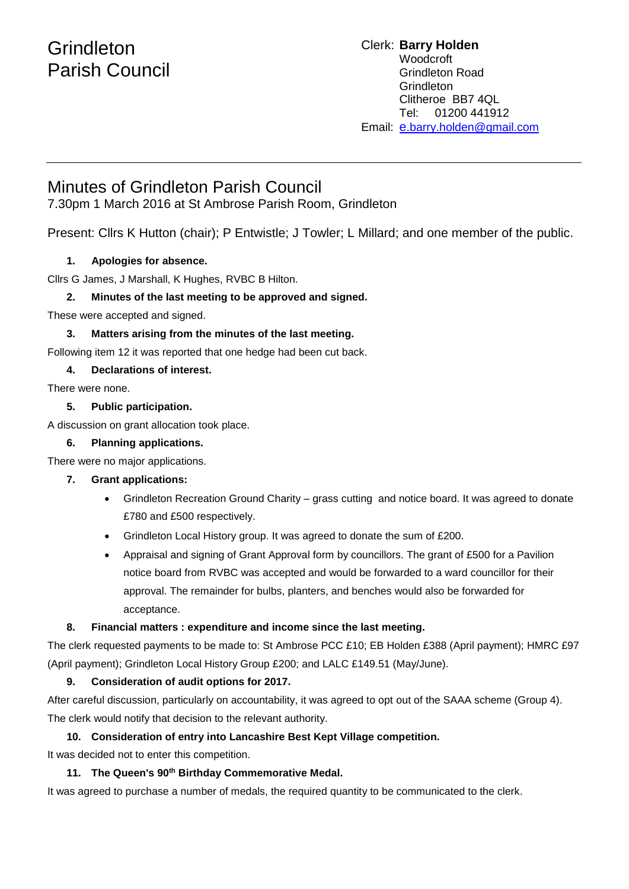# **Grindleton** Parish Council

#### Clerk: **Barry Holden** Woodcroft Grindleton Road **Grindleton** Clitheroe BB7 4QL Tel: 01200 441912 Email: [e](mailto:edwardbholden@yahoo.co.uk).barry.holden@gmail.com

# Minutes of Grindleton Parish Council

7.30pm 1 March 2016 at St Ambrose Parish Room, Grindleton

Present: Cllrs K Hutton (chair); P Entwistle; J Towler; L Millard; and one member of the public.

### **1. Apologies for absence.**

Cllrs G James, J Marshall, K Hughes, RVBC B Hilton.

### **2. Minutes of the last meeting to be approved and signed.**

These were accepted and signed.

#### **3. Matters arising from the minutes of the last meeting.**

Following item 12 it was reported that one hedge had been cut back.

#### **4. Declarations of interest.**

There were none.

#### **5. Public participation.**

A discussion on grant allocation took place.

#### **6. Planning applications.**

There were no major applications.

#### **7. Grant applications:**

- Grindleton Recreation Ground Charity grass cutting and notice board. It was agreed to donate £780 and £500 respectively.
- Grindleton Local History group. It was agreed to donate the sum of £200.
- Appraisal and signing of Grant Approval form by councillors. The grant of £500 for a Pavilion notice board from RVBC was accepted and would be forwarded to a ward councillor for their approval. The remainder for bulbs, planters, and benches would also be forwarded for acceptance.

#### **8. Financial matters : expenditure and income since the last meeting.**

The clerk requested payments to be made to: St Ambrose PCC £10; EB Holden £388 (April payment); HMRC £97 (April payment); Grindleton Local History Group £200; and LALC £149.51 (May/June).

# **9. Consideration of audit options for 2017.**

After careful discussion, particularly on accountability, it was agreed to opt out of the SAAA scheme (Group 4). The clerk would notify that decision to the relevant authority.

# **10. Consideration of entry into Lancashire Best Kept Village competition.**

It was decided not to enter this competition.

#### **11. The Queen's 90th Birthday Commemorative Medal.**

It was agreed to purchase a number of medals, the required quantity to be communicated to the clerk.